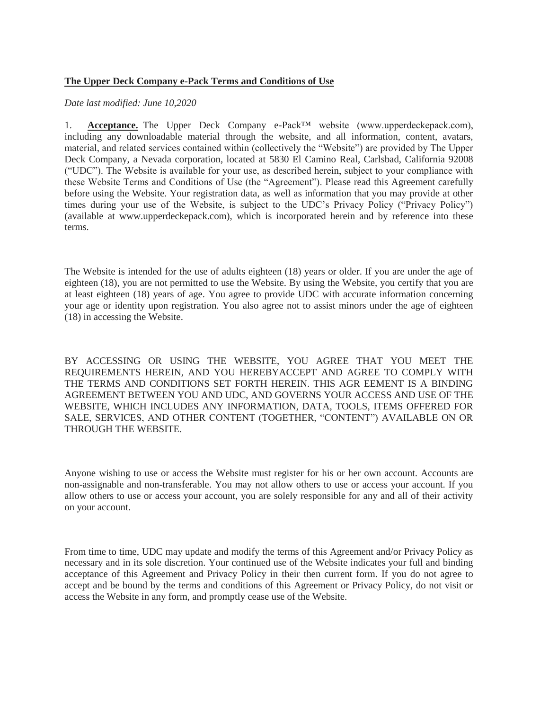## **The Upper Deck Company e-Pack Terms and Conditions of Use**

## *Date last modified: June 10,2020*

1. **Acceptance.** The Upper Deck Company e-Pack™ website (www.upperdeckepack.com), including any downloadable material through the website, and all information, content, avatars, material, and related services contained within (collectively the "Website") are provided by The Upper Deck Company, a Nevada corporation, located at 5830 El Camino Real, Carlsbad, California 92008 ("UDC"). The Website is available for your use, as described herein, subject to your compliance with these Website Terms and Conditions of Use (the "Agreement"). Please read this Agreement carefully before using the Website. Your registration data, as well as information that you may provide at other times during your use of the Website, is subject to the UDC's Privacy Policy ("Privacy Policy") (available at www.upperdeckepack.com), which is incorporated herein and by reference into these terms.

The Website is intended for the use of adults eighteen (18) years or older. If you are under the age of eighteen (18), you are not permitted to use the Website. By using the Website, you certify that you are at least eighteen (18) years of age. You agree to provide UDC with accurate information concerning your age or identity upon registration. You also agree not to assist minors under the age of eighteen (18) in accessing the Website.

BY ACCESSING OR USING THE WEBSITE, YOU AGREE THAT YOU MEET THE REQUIREMENTS HEREIN, AND YOU HEREBYACCEPT AND AGREE TO COMPLY WITH THE TERMS AND CONDITIONS SET FORTH HEREIN. THIS AGR EEMENT IS A BINDING AGREEMENT BETWEEN YOU AND UDC, AND GOVERNS YOUR ACCESS AND USE OF THE WEBSITE, WHICH INCLUDES ANY INFORMATION, DATA, TOOLS, ITEMS OFFERED FOR SALE, SERVICES, AND OTHER CONTENT (TOGETHER, "CONTENT") AVAILABLE ON OR THROUGH THE WEBSITE.

Anyone wishing to use or access the Website must register for his or her own account. Accounts are non-assignable and non-transferable. You may not allow others to use or access your account. If you allow others to use or access your account, you are solely responsible for any and all of their activity on your account.

From time to time, UDC may update and modify the terms of this Agreement and/or Privacy Policy as necessary and in its sole discretion. Your continued use of the Website indicates your full and binding acceptance of this Agreement and Privacy Policy in their then current form. If you do not agree to accept and be bound by the terms and conditions of this Agreement or Privacy Policy, do not visit or access the Website in any form, and promptly cease use of the Website.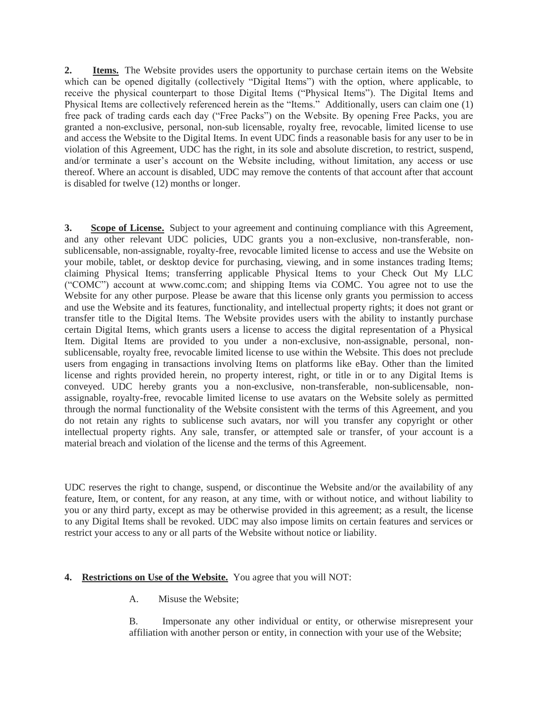**2. Items.** The Website provides users the opportunity to purchase certain items on the Website which can be opened digitally (collectively "Digital Items") with the option, where applicable, to receive the physical counterpart to those Digital Items ("Physical Items"). The Digital Items and Physical Items are collectively referenced herein as the "Items." Additionally, users can claim one (1) free pack of trading cards each day ("Free Packs") on the Website. By opening Free Packs, you are granted a non-exclusive, personal, non-sub licensable, royalty free, revocable, limited license to use and access the Website to the Digital Items. In event UDC finds a reasonable basis for any user to be in violation of this Agreement, UDC has the right, in its sole and absolute discretion, to restrict, suspend, and/or terminate a user's account on the Website including, without limitation, any access or use thereof. Where an account is disabled, UDC may remove the contents of that account after that account is disabled for twelve (12) months or longer.

**3. Scope of License.** Subject to your agreement and continuing compliance with this Agreement, and any other relevant UDC policies, UDC grants you a non-exclusive, non-transferable, nonsublicensable, non-assignable, royalty-free, revocable limited license to access and use the Website on your mobile, tablet, or desktop device for purchasing, viewing, and in some instances trading Items; claiming Physical Items; transferring applicable Physical Items to your Check Out My LLC ("COMC") account at www.comc.com; and shipping Items via COMC. You agree not to use the Website for any other purpose. Please be aware that this license only grants you permission to access and use the Website and its features, functionality, and intellectual property rights; it does not grant or transfer title to the Digital Items. The Website provides users with the ability to instantly purchase certain Digital Items, which grants users a license to access the digital representation of a Physical Item. Digital Items are provided to you under a non-exclusive, non-assignable, personal, nonsublicensable, royalty free, revocable limited license to use within the Website. This does not preclude users from engaging in transactions involving Items on platforms like eBay. Other than the limited license and rights provided herein, no property interest, right, or title in or to any Digital Items is conveyed. UDC hereby grants you a non-exclusive, non-transferable, non-sublicensable, nonassignable, royalty-free, revocable limited license to use avatars on the Website solely as permitted through the normal functionality of the Website consistent with the terms of this Agreement, and you do not retain any rights to sublicense such avatars, nor will you transfer any copyright or other intellectual property rights. Any sale, transfer, or attempted sale or transfer, of your account is a material breach and violation of the license and the terms of this Agreement.

UDC reserves the right to change, suspend, or discontinue the Website and/or the availability of any feature, Item, or content, for any reason, at any time, with or without notice, and without liability to you or any third party, except as may be otherwise provided in this agreement; as a result, the license to any Digital Items shall be revoked. UDC may also impose limits on certain features and services or restrict your access to any or all parts of the Website without notice or liability.

## **4. Restrictions on Use of the Website.** You agree that you will NOT:

A. Misuse the Website;

B. Impersonate any other individual or entity, or otherwise misrepresent your affiliation with another person or entity, in connection with your use of the Website;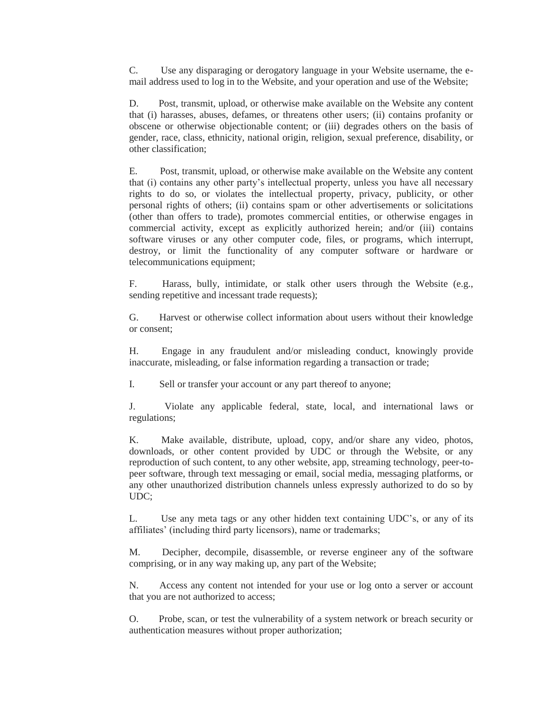C. Use any disparaging or derogatory language in your Website username, the email address used to log in to the Website, and your operation and use of the Website;

D. Post, transmit, upload, or otherwise make available on the Website any content that (i) harasses, abuses, defames, or threatens other users; (ii) contains profanity or obscene or otherwise objectionable content; or (iii) degrades others on the basis of gender, race, class, ethnicity, national origin, religion, sexual preference, disability, or other classification;

E. Post, transmit, upload, or otherwise make available on the Website any content that (i) contains any other party's intellectual property, unless you have all necessary rights to do so, or violates the intellectual property, privacy, publicity, or other personal rights of others; (ii) contains spam or other advertisements or solicitations (other than offers to trade), promotes commercial entities, or otherwise engages in commercial activity, except as explicitly authorized herein; and/or (iii) contains software viruses or any other computer code, files, or programs, which interrupt, destroy, or limit the functionality of any computer software or hardware or telecommunications equipment;

F. Harass, bully, intimidate, or stalk other users through the Website (e.g., sending repetitive and incessant trade requests);

G. Harvest or otherwise collect information about users without their knowledge or consent;

H. Engage in any fraudulent and/or misleading conduct, knowingly provide inaccurate, misleading, or false information regarding a transaction or trade;

I. Sell or transfer your account or any part thereof to anyone;

J. Violate any applicable federal, state, local, and international laws or regulations;

K. Make available, distribute, upload, copy, and/or share any video, photos, downloads, or other content provided by UDC or through the Website, or any reproduction of such content, to any other website, app, streaming technology, peer-topeer software, through text messaging or email, social media, messaging platforms, or any other unauthorized distribution channels unless expressly authorized to do so by UDC;

L. Use any meta tags or any other hidden text containing UDC's, or any of its affiliates' (including third party licensors), name or trademarks;

M. Decipher, decompile, disassemble, or reverse engineer any of the software comprising, or in any way making up, any part of the Website;

N. Access any content not intended for your use or log onto a server or account that you are not authorized to access;

O. Probe, scan, or test the vulnerability of a system network or breach security or authentication measures without proper authorization;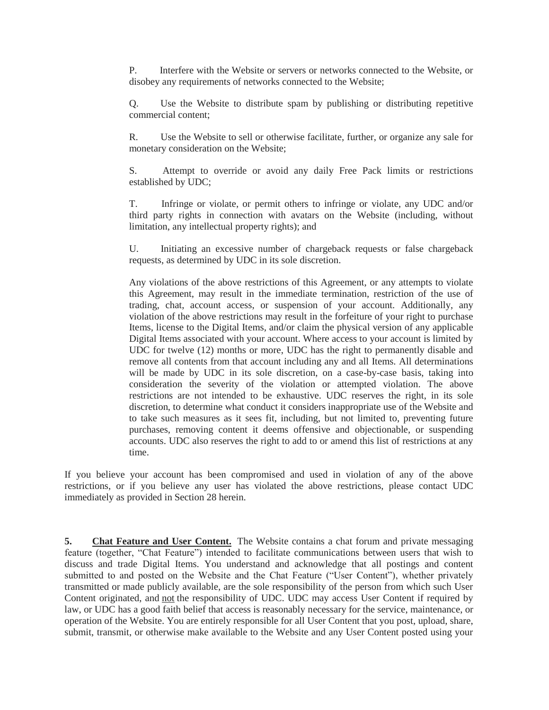P. Interfere with the Website or servers or networks connected to the Website, or disobey any requirements of networks connected to the Website;

Q. Use the Website to distribute spam by publishing or distributing repetitive commercial content;

R. Use the Website to sell or otherwise facilitate, further, or organize any sale for monetary consideration on the Website;

S. Attempt to override or avoid any daily Free Pack limits or restrictions established by UDC;

T. Infringe or violate, or permit others to infringe or violate, any UDC and/or third party rights in connection with avatars on the Website (including, without limitation, any intellectual property rights); and

U. Initiating an excessive number of chargeback requests or false chargeback requests, as determined by UDC in its sole discretion.

Any violations of the above restrictions of this Agreement, or any attempts to violate this Agreement, may result in the immediate termination, restriction of the use of trading, chat, account access, or suspension of your account. Additionally, any violation of the above restrictions may result in the forfeiture of your right to purchase Items, license to the Digital Items, and/or claim the physical version of any applicable Digital Items associated with your account. Where access to your account is limited by UDC for twelve (12) months or more, UDC has the right to permanently disable and remove all contents from that account including any and all Items. All determinations will be made by UDC in its sole discretion, on a case-by-case basis, taking into consideration the severity of the violation or attempted violation. The above restrictions are not intended to be exhaustive. UDC reserves the right, in its sole discretion, to determine what conduct it considers inappropriate use of the Website and to take such measures as it sees fit, including, but not limited to, preventing future purchases, removing content it deems offensive and objectionable, or suspending accounts. UDC also reserves the right to add to or amend this list of restrictions at any time.

If you believe your account has been compromised and used in violation of any of the above restrictions, or if you believe any user has violated the above restrictions, please contact UDC immediately as provided in Section 28 herein.

**5. Chat Feature and User Content.** The Website contains a chat forum and private messaging feature (together, "Chat Feature") intended to facilitate communications between users that wish to discuss and trade Digital Items. You understand and acknowledge that all postings and content submitted to and posted on the Website and the Chat Feature ("User Content"), whether privately transmitted or made publicly available, are the sole responsibility of the person from which such User Content originated, and not the responsibility of UDC. UDC may access User Content if required by law, or UDC has a good faith belief that access is reasonably necessary for the service, maintenance, or operation of the Website. You are entirely responsible for all User Content that you post, upload, share, submit, transmit, or otherwise make available to the Website and any User Content posted using your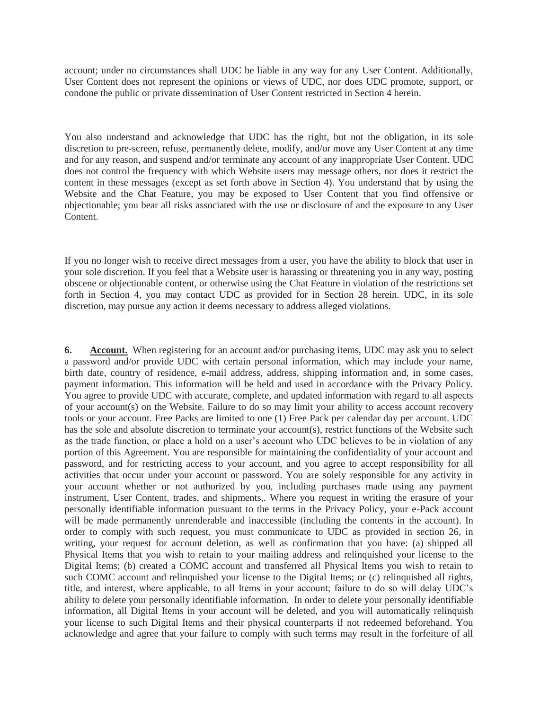account; under no circumstances shall UDC be liable in any way for any User Content. Additionally, User Content does not represent the opinions or views of UDC, nor does UDC promote, support, or condone the public or private dissemination of User Content restricted in Section 4 herein.

You also understand and acknowledge that UDC has the right, but not the obligation, in its sole discretion to pre-screen, refuse, permanently delete, modify, and/or move any User Content at any time and for any reason, and suspend and/or terminate any account of any inappropriate User Content. UDC does not control the frequency with which Website users may message others, nor does it restrict the content in these messages (except as set forth above in Section 4). You understand that by using the Website and the Chat Feature, you may be exposed to User Content that you find offensive or objectionable; you bear all risks associated with the use or disclosure of and the exposure to any User Content.

If you no longer wish to receive direct messages from a user, you have the ability to block that user in your sole discretion. If you feel that a Website user is harassing or threatening you in any way, posting obscene or objectionable content, or otherwise using the Chat Feature in violation of the restrictions set forth in Section 4, you may contact UDC as provided for in Section 28 herein. UDC, in its sole discretion, may pursue any action it deems necessary to address alleged violations.

**6. Account.** When registering for an account and/or purchasing items, UDC may ask you to select a password and/or provide UDC with certain personal information, which may include your name, birth date, country of residence, e-mail address, address, shipping information and, in some cases, payment information. This information will be held and used in accordance with the Privacy Policy. You agree to provide UDC with accurate, complete, and updated information with regard to all aspects of your account(s) on the Website. Failure to do so may limit your ability to access account recovery tools or your account. Free Packs are limited to one (1) Free Pack per calendar day per account. UDC has the sole and absolute discretion to terminate your account(s), restrict functions of the Website such as the trade function, or place a hold on a user's account who UDC believes to be in violation of any portion of this Agreement. You are responsible for maintaining the confidentiality of your account and password, and for restricting access to your account, and you agree to accept responsibility for all activities that occur under your account or password. You are solely responsible for any activity in your account whether or not authorized by you, including purchases made using any payment instrument, User Content, trades, and shipments,. Where you request in writing the erasure of your personally identifiable information pursuant to the terms in the Privacy Policy, your e-Pack account will be made permanently unrenderable and inaccessible (including the contents in the account). In order to comply with such request, you must communicate to UDC as provided in section 26, in writing, your request for account deletion, as well as confirmation that you have: (a) shipped all Physical Items that you wish to retain to your mailing address and relinquished your license to the Digital Items; (b) created a COMC account and transferred all Physical Items you wish to retain to such COMC account and relinquished your license to the Digital Items; or (c) relinquished all rights, title, and interest, where applicable, to all Items in your account; failure to do so will delay UDC's ability to delete your personally identifiable information. In order to delete your personally identifiable information, all Digital Items in your account will be deleted, and you will automatically relinquish your license to such Digital Items and their physical counterparts if not redeemed beforehand. You acknowledge and agree that your failure to comply with such terms may result in the forfeiture of all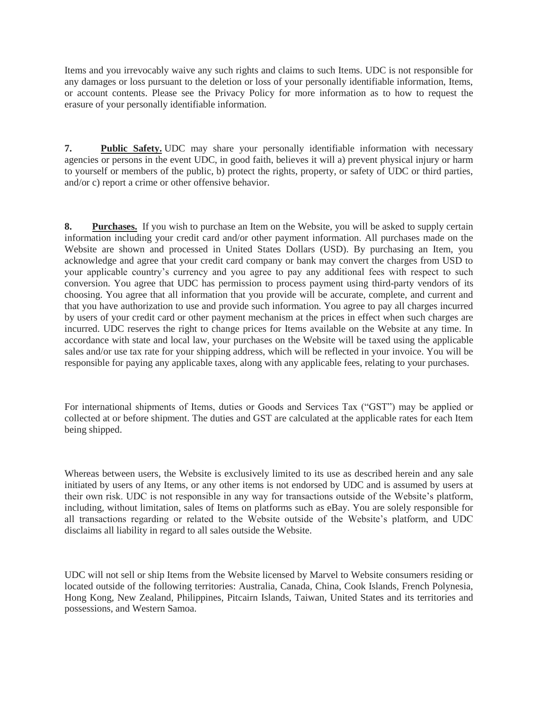Items and you irrevocably waive any such rights and claims to such Items. UDC is not responsible for any damages or loss pursuant to the deletion or loss of your personally identifiable information, Items, or account contents. Please see the Privacy Policy for more information as to how to request the erasure of your personally identifiable information.

**7. Public Safety.** UDC may share your personally identifiable information with necessary agencies or persons in the event UDC, in good faith, believes it will a) prevent physical injury or harm to yourself or members of the public, b) protect the rights, property, or safety of UDC or third parties, and/or c) report a crime or other offensive behavior.

**8. Purchases.** If you wish to purchase an Item on the Website, you will be asked to supply certain information including your credit card and/or other payment information. All purchases made on the Website are shown and processed in United States Dollars (USD). By purchasing an Item, you acknowledge and agree that your credit card company or bank may convert the charges from USD to your applicable country's currency and you agree to pay any additional fees with respect to such conversion. You agree that UDC has permission to process payment using third-party vendors of its choosing. You agree that all information that you provide will be accurate, complete, and current and that you have authorization to use and provide such information. You agree to pay all charges incurred by users of your credit card or other payment mechanism at the prices in effect when such charges are incurred. UDC reserves the right to change prices for Items available on the Website at any time. In accordance with state and local law, your purchases on the Website will be taxed using the applicable sales and/or use tax rate for your shipping address, which will be reflected in your invoice. You will be responsible for paying any applicable taxes, along with any applicable fees, relating to your purchases.

For international shipments of Items, duties or Goods and Services Tax ("GST") may be applied or collected at or before shipment. The duties and GST are calculated at the applicable rates for each Item being shipped.

Whereas between users, the Website is exclusively limited to its use as described herein and any sale initiated by users of any Items, or any other items is not endorsed by UDC and is assumed by users at their own risk. UDC is not responsible in any way for transactions outside of the Website's platform, including, without limitation, sales of Items on platforms such as eBay. You are solely responsible for all transactions regarding or related to the Website outside of the Website's platform, and UDC disclaims all liability in regard to all sales outside the Website.

UDC will not sell or ship Items from the Website licensed by Marvel to Website consumers residing or located outside of the following territories: Australia, Canada, China, Cook Islands, French Polynesia, Hong Kong, New Zealand, Philippines, Pitcairn Islands, Taiwan, United States and its territories and possessions, and Western Samoa.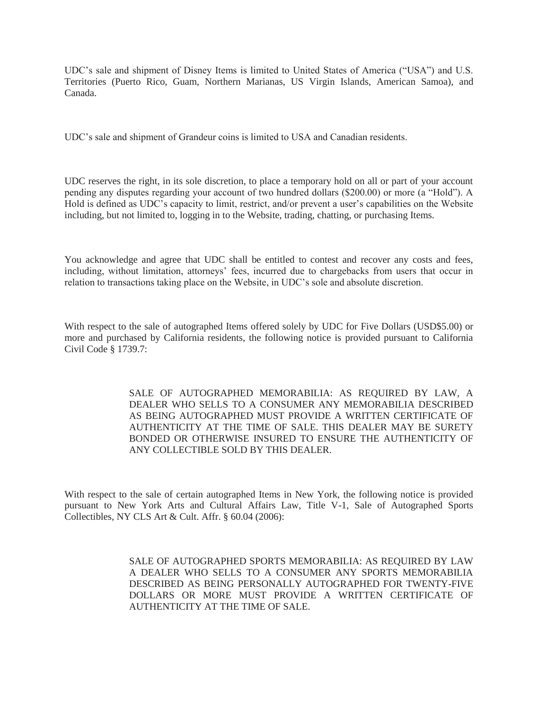UDC's sale and shipment of Disney Items is limited to United States of America ("USA") and U.S. Territories (Puerto Rico, Guam, Northern Marianas, US Virgin Islands, American Samoa), and Canada.

UDC's sale and shipment of Grandeur coins is limited to USA and Canadian residents.

UDC reserves the right, in its sole discretion, to place a temporary hold on all or part of your account pending any disputes regarding your account of two hundred dollars (\$200.00) or more (a "Hold"). A Hold is defined as UDC's capacity to limit, restrict, and/or prevent a user's capabilities on the Website including, but not limited to, logging in to the Website, trading, chatting, or purchasing Items.

You acknowledge and agree that UDC shall be entitled to contest and recover any costs and fees, including, without limitation, attorneys' fees, incurred due to chargebacks from users that occur in relation to transactions taking place on the Website, in UDC's sole and absolute discretion.

With respect to the sale of autographed Items offered solely by UDC for Five Dollars (USD\$5.00) or more and purchased by California residents, the following notice is provided pursuant to California Civil Code § 1739.7:

> SALE OF AUTOGRAPHED MEMORABILIA: AS REQUIRED BY LAW, A DEALER WHO SELLS TO A CONSUMER ANY MEMORABILIA DESCRIBED AS BEING AUTOGRAPHED MUST PROVIDE A WRITTEN CERTIFICATE OF AUTHENTICITY AT THE TIME OF SALE. THIS DEALER MAY BE SURETY BONDED OR OTHERWISE INSURED TO ENSURE THE AUTHENTICITY OF ANY COLLECTIBLE SOLD BY THIS DEALER.

With respect to the sale of certain autographed Items in New York, the following notice is provided pursuant to New York Arts and Cultural Affairs Law, Title V-1, Sale of Autographed Sports Collectibles, NY CLS Art & Cult. Affr. § 60.04 (2006):

> SALE OF AUTOGRAPHED SPORTS MEMORABILIA: AS REQUIRED BY LAW A DEALER WHO SELLS TO A CONSUMER ANY SPORTS MEMORABILIA DESCRIBED AS BEING PERSONALLY AUTOGRAPHED FOR TWENTY-FIVE DOLLARS OR MORE MUST PROVIDE A WRITTEN CERTIFICATE OF AUTHENTICITY AT THE TIME OF SALE.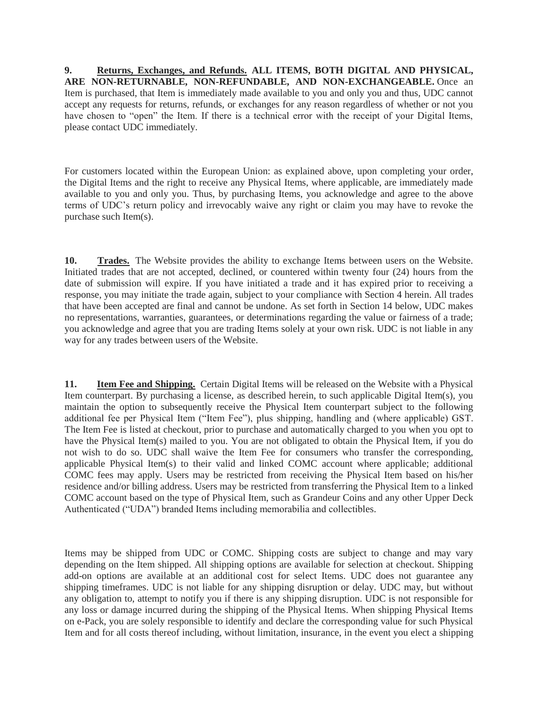**9. Returns, Exchanges, and Refunds. ALL ITEMS, BOTH DIGITAL AND PHYSICAL, ARE NON-RETURNABLE, NON-REFUNDABLE, AND NON-EXCHANGEABLE.** Once an Item is purchased, that Item is immediately made available to you and only you and thus, UDC cannot accept any requests for returns, refunds, or exchanges for any reason regardless of whether or not you have chosen to "open" the Item. If there is a technical error with the receipt of your Digital Items, please contact UDC immediately.

For customers located within the European Union: as explained above, upon completing your order, the Digital Items and the right to receive any Physical Items, where applicable, are immediately made available to you and only you. Thus, by purchasing Items, you acknowledge and agree to the above terms of UDC's return policy and irrevocably waive any right or claim you may have to revoke the purchase such Item(s).

**10. Trades.** The Website provides the ability to exchange Items between users on the Website. Initiated trades that are not accepted, declined, or countered within twenty four (24) hours from the date of submission will expire. If you have initiated a trade and it has expired prior to receiving a response, you may initiate the trade again, subject to your compliance with Section 4 herein. All trades that have been accepted are final and cannot be undone. As set forth in Section 14 below, UDC makes no representations, warranties, guarantees, or determinations regarding the value or fairness of a trade; you acknowledge and agree that you are trading Items solely at your own risk. UDC is not liable in any way for any trades between users of the Website.

**11. Item Fee and Shipping.** Certain Digital Items will be released on the Website with a Physical Item counterpart. By purchasing a license, as described herein, to such applicable Digital Item(s), you maintain the option to subsequently receive the Physical Item counterpart subject to the following additional fee per Physical Item ("Item Fee"), plus shipping, handling and (where applicable) GST. The Item Fee is listed at checkout, prior to purchase and automatically charged to you when you opt to have the Physical Item(s) mailed to you. You are not obligated to obtain the Physical Item, if you do not wish to do so. UDC shall waive the Item Fee for consumers who transfer the corresponding, applicable Physical Item(s) to their valid and linked COMC account where applicable; additional COMC fees may apply. Users may be restricted from receiving the Physical Item based on his/her residence and/or billing address. Users may be restricted from transferring the Physical Item to a linked COMC account based on the type of Physical Item, such as Grandeur Coins and any other Upper Deck Authenticated ("UDA") branded Items including memorabilia and collectibles.

Items may be shipped from UDC or COMC. Shipping costs are subject to change and may vary depending on the Item shipped. All shipping options are available for selection at checkout. Shipping add-on options are available at an additional cost for select Items. UDC does not guarantee any shipping timeframes. UDC is not liable for any shipping disruption or delay. UDC may, but without any obligation to, attempt to notify you if there is any shipping disruption. UDC is not responsible for any loss or damage incurred during the shipping of the Physical Items. When shipping Physical Items on e-Pack, you are solely responsible to identify and declare the corresponding value for such Physical Item and for all costs thereof including, without limitation, insurance, in the event you elect a shipping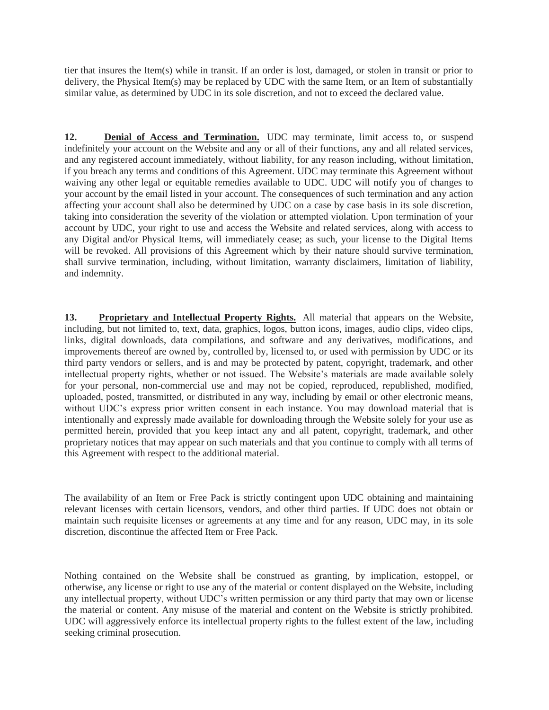tier that insures the Item(s) while in transit. If an order is lost, damaged, or stolen in transit or prior to delivery, the Physical Item(s) may be replaced by UDC with the same Item, or an Item of substantially similar value, as determined by UDC in its sole discretion, and not to exceed the declared value.

**12. Denial of Access and Termination.** UDC may terminate, limit access to, or suspend indefinitely your account on the Website and any or all of their functions, any and all related services, and any registered account immediately, without liability, for any reason including, without limitation, if you breach any terms and conditions of this Agreement. UDC may terminate this Agreement without waiving any other legal or equitable remedies available to UDC. UDC will notify you of changes to your account by the email listed in your account. The consequences of such termination and any action affecting your account shall also be determined by UDC on a case by case basis in its sole discretion, taking into consideration the severity of the violation or attempted violation. Upon termination of your account by UDC, your right to use and access the Website and related services, along with access to any Digital and/or Physical Items, will immediately cease; as such, your license to the Digital Items will be revoked. All provisions of this Agreement which by their nature should survive termination, shall survive termination, including, without limitation, warranty disclaimers, limitation of liability, and indemnity.

**13. Proprietary and Intellectual Property Rights.** All material that appears on the Website, including, but not limited to, text, data, graphics, logos, button icons, images, audio clips, video clips, links, digital downloads, data compilations, and software and any derivatives, modifications, and improvements thereof are owned by, controlled by, licensed to, or used with permission by UDC or its third party vendors or sellers, and is and may be protected by patent, copyright, trademark, and other intellectual property rights, whether or not issued. The Website's materials are made available solely for your personal, non-commercial use and may not be copied, reproduced, republished, modified, uploaded, posted, transmitted, or distributed in any way, including by email or other electronic means, without UDC's express prior written consent in each instance. You may download material that is intentionally and expressly made available for downloading through the Website solely for your use as permitted herein, provided that you keep intact any and all patent, copyright, trademark, and other proprietary notices that may appear on such materials and that you continue to comply with all terms of this Agreement with respect to the additional material.

The availability of an Item or Free Pack is strictly contingent upon UDC obtaining and maintaining relevant licenses with certain licensors, vendors, and other third parties. If UDC does not obtain or maintain such requisite licenses or agreements at any time and for any reason, UDC may, in its sole discretion, discontinue the affected Item or Free Pack.

Nothing contained on the Website shall be construed as granting, by implication, estoppel, or otherwise, any license or right to use any of the material or content displayed on the Website, including any intellectual property, without UDC's written permission or any third party that may own or license the material or content. Any misuse of the material and content on the Website is strictly prohibited. UDC will aggressively enforce its intellectual property rights to the fullest extent of the law, including seeking criminal prosecution.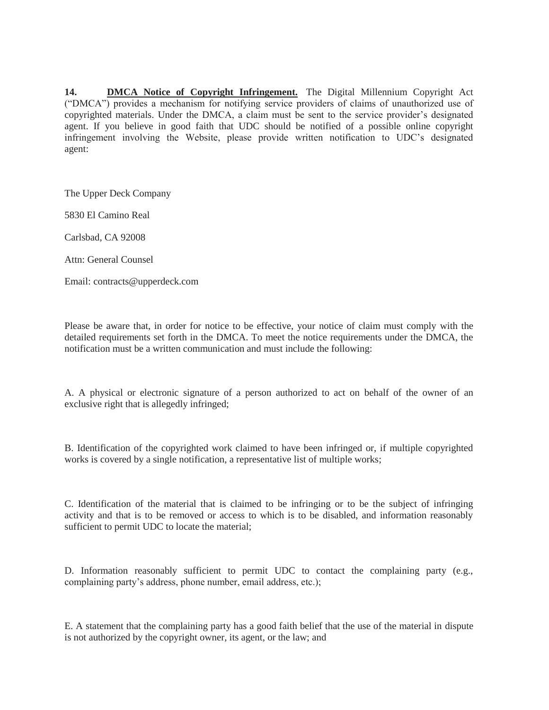**14. DMCA Notice of Copyright Infringement.** The Digital Millennium Copyright Act ("DMCA") provides a mechanism for notifying service providers of claims of unauthorized use of copyrighted materials. Under the DMCA, a claim must be sent to the service provider's designated agent. If you believe in good faith that UDC should be notified of a possible online copyright infringement involving the Website, please provide written notification to UDC's designated agent:

The Upper Deck Company

5830 El Camino Real

Carlsbad, CA 92008

Attn: General Counsel

Email: contracts@upperdeck.com

Please be aware that, in order for notice to be effective, your notice of claim must comply with the detailed requirements set forth in the DMCA. To meet the notice requirements under the DMCA, the notification must be a written communication and must include the following:

A. A physical or electronic signature of a person authorized to act on behalf of the owner of an exclusive right that is allegedly infringed;

B. Identification of the copyrighted work claimed to have been infringed or, if multiple copyrighted works is covered by a single notification, a representative list of multiple works;

C. Identification of the material that is claimed to be infringing or to be the subject of infringing activity and that is to be removed or access to which is to be disabled, and information reasonably sufficient to permit UDC to locate the material;

D. Information reasonably sufficient to permit UDC to contact the complaining party (e.g., complaining party's address, phone number, email address, etc.);

E. A statement that the complaining party has a good faith belief that the use of the material in dispute is not authorized by the copyright owner, its agent, or the law; and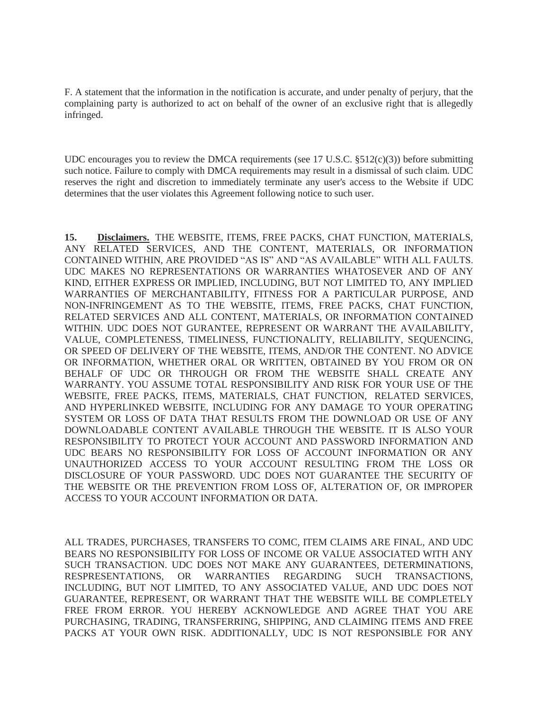F. A statement that the information in the notification is accurate, and under penalty of perjury, that the complaining party is authorized to act on behalf of the owner of an exclusive right that is allegedly infringed.

UDC encourages you to review the DMCA requirements (see 17 U.S.C.  $\S512(c)(3)$ ) before submitting such notice. Failure to comply with DMCA requirements may result in a dismissal of such claim. UDC reserves the right and discretion to immediately terminate any user's access to the Website if UDC determines that the user violates this Agreement following notice to such user.

**15. Disclaimers.** THE WEBSITE, ITEMS, FREE PACKS, CHAT FUNCTION, MATERIALS, ANY RELATED SERVICES, AND THE CONTENT, MATERIALS, OR INFORMATION CONTAINED WITHIN, ARE PROVIDED "AS IS" AND "AS AVAILABLE" WITH ALL FAULTS. UDC MAKES NO REPRESENTATIONS OR WARRANTIES WHATOSEVER AND OF ANY KIND, EITHER EXPRESS OR IMPLIED, INCLUDING, BUT NOT LIMITED TO, ANY IMPLIED WARRANTIES OF MERCHANTABILITY, FITNESS FOR A PARTICULAR PURPOSE, AND NON-INFRINGEMENT AS TO THE WEBSITE, ITEMS, FREE PACKS, CHAT FUNCTION, RELATED SERVICES AND ALL CONTENT, MATERIALS, OR INFORMATION CONTAINED WITHIN. UDC DOES NOT GURANTEE, REPRESENT OR WARRANT THE AVAILABILITY, VALUE, COMPLETENESS, TIMELINESS, FUNCTIONALITY, RELIABILITY, SEQUENCING, OR SPEED OF DELIVERY OF THE WEBSITE, ITEMS, AND/OR THE CONTENT. NO ADVICE OR INFORMATION, WHETHER ORAL OR WRITTEN, OBTAINED BY YOU FROM OR ON BEHALF OF UDC OR THROUGH OR FROM THE WEBSITE SHALL CREATE ANY WARRANTY. YOU ASSUME TOTAL RESPONSIBILITY AND RISK FOR YOUR USE OF THE WEBSITE, FREE PACKS, ITEMS, MATERIALS, CHAT FUNCTION, RELATED SERVICES, AND HYPERLINKED WEBSITE, INCLUDING FOR ANY DAMAGE TO YOUR OPERATING SYSTEM OR LOSS OF DATA THAT RESULTS FROM THE DOWNLOAD OR USE OF ANY DOWNLOADABLE CONTENT AVAILABLE THROUGH THE WEBSITE. IT IS ALSO YOUR RESPONSIBILITY TO PROTECT YOUR ACCOUNT AND PASSWORD INFORMATION AND UDC BEARS NO RESPONSIBILITY FOR LOSS OF ACCOUNT INFORMATION OR ANY UNAUTHORIZED ACCESS TO YOUR ACCOUNT RESULTING FROM THE LOSS OR DISCLOSURE OF YOUR PASSWORD. UDC DOES NOT GUARANTEE THE SECURITY OF THE WEBSITE OR THE PREVENTION FROM LOSS OF, ALTERATION OF, OR IMPROPER ACCESS TO YOUR ACCOUNT INFORMATION OR DATA.

ALL TRADES, PURCHASES, TRANSFERS TO COMC, ITEM CLAIMS ARE FINAL, AND UDC BEARS NO RESPONSIBILITY FOR LOSS OF INCOME OR VALUE ASSOCIATED WITH ANY SUCH TRANSACTION. UDC DOES NOT MAKE ANY GUARANTEES, DETERMINATIONS, RESPRESENTATIONS, OR WARRANTIES REGARDING SUCH TRANSACTIONS, INCLUDING, BUT NOT LIMITED, TO ANY ASSOCIATED VALUE, AND UDC DOES NOT GUARANTEE, REPRESENT, OR WARRANT THAT THE WEBSITE WILL BE COMPLETELY FREE FROM ERROR. YOU HEREBY ACKNOWLEDGE AND AGREE THAT YOU ARE PURCHASING, TRADING, TRANSFERRING, SHIPPING, AND CLAIMING ITEMS AND FREE PACKS AT YOUR OWN RISK. ADDITIONALLY, UDC IS NOT RESPONSIBLE FOR ANY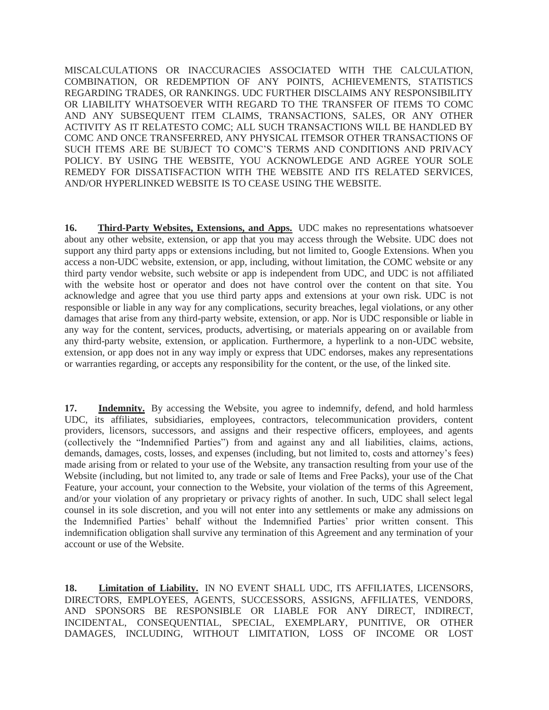MISCALCULATIONS OR INACCURACIES ASSOCIATED WITH THE CALCULATION, COMBINATION, OR REDEMPTION OF ANY POINTS, ACHIEVEMENTS, STATISTICS REGARDING TRADES, OR RANKINGS. UDC FURTHER DISCLAIMS ANY RESPONSIBILITY OR LIABILITY WHATSOEVER WITH REGARD TO THE TRANSFER OF ITEMS TO COMC AND ANY SUBSEQUENT ITEM CLAIMS, TRANSACTIONS, SALES, OR ANY OTHER ACTIVITY AS IT RELATESTO COMC; ALL SUCH TRANSACTIONS WILL BE HANDLED BY COMC AND ONCE TRANSFERRED, ANY PHYSICAL ITEMSOR OTHER TRANSACTIONS OF SUCH ITEMS ARE BE SUBJECT TO COMC'S TERMS AND CONDITIONS AND PRIVACY POLICY. BY USING THE WEBSITE, YOU ACKNOWLEDGE AND AGREE YOUR SOLE REMEDY FOR DISSATISFACTION WITH THE WEBSITE AND ITS RELATED SERVICES, AND/OR HYPERLINKED WEBSITE IS TO CEASE USING THE WEBSITE.

**16. Third-Party Websites, Extensions, and Apps.** UDC makes no representations whatsoever about any other website, extension, or app that you may access through the Website. UDC does not support any third party apps or extensions including, but not limited to, Google Extensions. When you access a non-UDC website, extension, or app, including, without limitation, the COMC website or any third party vendor website, such website or app is independent from UDC, and UDC is not affiliated with the website host or operator and does not have control over the content on that site. You acknowledge and agree that you use third party apps and extensions at your own risk. UDC is not responsible or liable in any way for any complications, security breaches, legal violations, or any other damages that arise from any third-party website, extension, or app. Nor is UDC responsible or liable in any way for the content, services, products, advertising, or materials appearing on or available from any third-party website, extension, or application. Furthermore, a hyperlink to a non-UDC website, extension, or app does not in any way imply or express that UDC endorses, makes any representations or warranties regarding, or accepts any responsibility for the content, or the use, of the linked site.

**17. Indemnity.** By accessing the Website, you agree to indemnify, defend, and hold harmless UDC, its affiliates, subsidiaries, employees, contractors, telecommunication providers, content providers, licensors, successors, and assigns and their respective officers, employees, and agents (collectively the "Indemnified Parties") from and against any and all liabilities, claims, actions, demands, damages, costs, losses, and expenses (including, but not limited to, costs and attorney's fees) made arising from or related to your use of the Website, any transaction resulting from your use of the Website (including, but not limited to, any trade or sale of Items and Free Packs), your use of the Chat Feature, your account, your connection to the Website, your violation of the terms of this Agreement, and/or your violation of any proprietary or privacy rights of another. In such, UDC shall select legal counsel in its sole discretion, and you will not enter into any settlements or make any admissions on the Indemnified Parties' behalf without the Indemnified Parties' prior written consent. This indemnification obligation shall survive any termination of this Agreement and any termination of your account or use of the Website.

**18. Limitation of Liability.** IN NO EVENT SHALL UDC, ITS AFFILIATES, LICENSORS, DIRECTORS, EMPLOYEES, AGENTS, SUCCESSORS, ASSIGNS, AFFILIATES, VENDORS, AND SPONSORS BE RESPONSIBLE OR LIABLE FOR ANY DIRECT, INDIRECT, INCIDENTAL, CONSEQUENTIAL, SPECIAL, EXEMPLARY, PUNITIVE, OR OTHER DAMAGES, INCLUDING, WITHOUT LIMITATION, LOSS OF INCOME OR LOST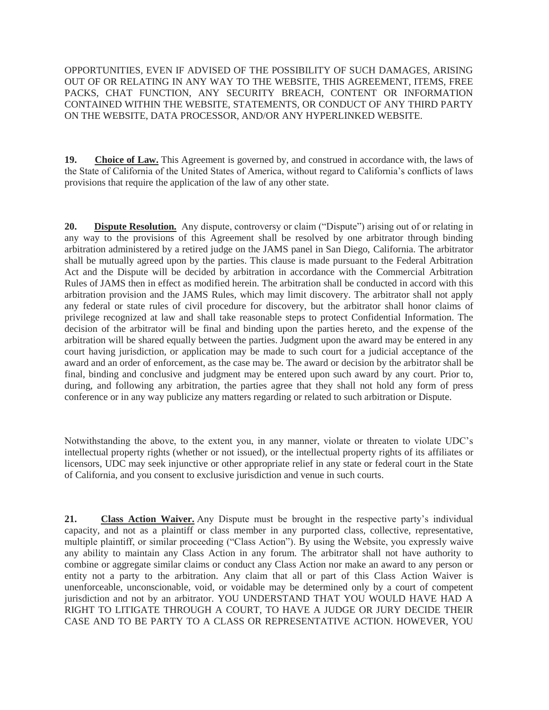OPPORTUNITIES, EVEN IF ADVISED OF THE POSSIBILITY OF SUCH DAMAGES, ARISING OUT OF OR RELATING IN ANY WAY TO THE WEBSITE, THIS AGREEMENT, ITEMS, FREE PACKS, CHAT FUNCTION, ANY SECURITY BREACH, CONTENT OR INFORMATION CONTAINED WITHIN THE WEBSITE, STATEMENTS, OR CONDUCT OF ANY THIRD PARTY ON THE WEBSITE, DATA PROCESSOR, AND/OR ANY HYPERLINKED WEBSITE.

**19. Choice of Law.** This Agreement is governed by, and construed in accordance with, the laws of the State of California of the United States of America, without regard to California's conflicts of laws provisions that require the application of the law of any other state.

**20. Dispute Resolution.** Any dispute, controversy or claim ("Dispute") arising out of or relating in any way to the provisions of this Agreement shall be resolved by one arbitrator through binding arbitration administered by a retired judge on the JAMS panel in San Diego, California. The arbitrator shall be mutually agreed upon by the parties. This clause is made pursuant to the Federal Arbitration Act and the Dispute will be decided by arbitration in accordance with the Commercial Arbitration Rules of JAMS then in effect as modified herein. The arbitration shall be conducted in accord with this arbitration provision and the JAMS Rules, which may limit discovery. The arbitrator shall not apply any federal or state rules of civil procedure for discovery, but the arbitrator shall honor claims of privilege recognized at law and shall take reasonable steps to protect Confidential Information. The decision of the arbitrator will be final and binding upon the parties hereto, and the expense of the arbitration will be shared equally between the parties. Judgment upon the award may be entered in any court having jurisdiction, or application may be made to such court for a judicial acceptance of the award and an order of enforcement, as the case may be. The award or decision by the arbitrator shall be final, binding and conclusive and judgment may be entered upon such award by any court. Prior to, during, and following any arbitration, the parties agree that they shall not hold any form of press conference or in any way publicize any matters regarding or related to such arbitration or Dispute.

Notwithstanding the above, to the extent you, in any manner, violate or threaten to violate UDC's intellectual property rights (whether or not issued), or the intellectual property rights of its affiliates or licensors, UDC may seek injunctive or other appropriate relief in any state or federal court in the State of California, and you consent to exclusive jurisdiction and venue in such courts.

**21. Class Action Waiver.** Any Dispute must be brought in the respective party's individual capacity, and not as a plaintiff or class member in any purported class, collective, representative, multiple plaintiff, or similar proceeding ("Class Action"). By using the Website, you expressly waive any ability to maintain any Class Action in any forum. The arbitrator shall not have authority to combine or aggregate similar claims or conduct any Class Action nor make an award to any person or entity not a party to the arbitration. Any claim that all or part of this Class Action Waiver is unenforceable, unconscionable, void, or voidable may be determined only by a court of competent jurisdiction and not by an arbitrator. YOU UNDERSTAND THAT YOU WOULD HAVE HAD A RIGHT TO LITIGATE THROUGH A COURT, TO HAVE A JUDGE OR JURY DECIDE THEIR CASE AND TO BE PARTY TO A CLASS OR REPRESENTATIVE ACTION. HOWEVER, YOU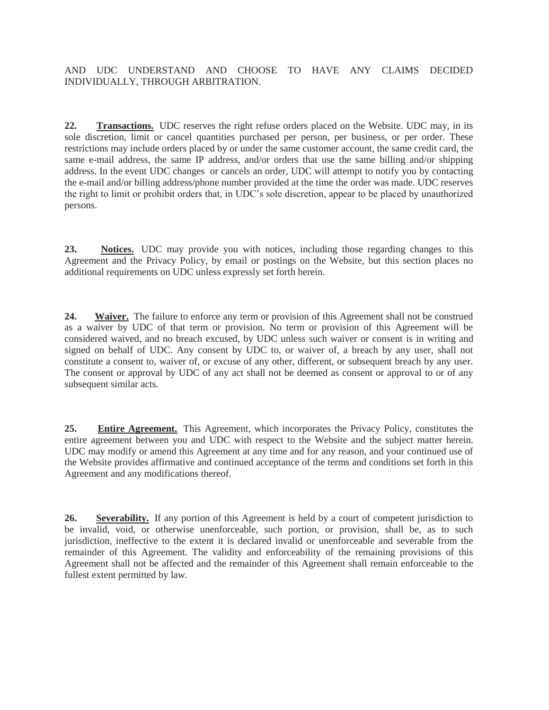## AND UDC UNDERSTAND AND CHOOSE TO HAVE ANY CLAIMS DECIDED INDIVIDUALLY, THROUGH ARBITRATION.

**22. Transactions.** UDC reserves the right refuse orders placed on the Website. UDC may, in its sole discretion, limit or cancel quantities purchased per person, per business, or per order. These restrictions may include orders placed by or under the same customer account, the same credit card, the same e-mail address, the same IP address, and/or orders that use the same billing and/or shipping address. In the event UDC changes or cancels an order, UDC will attempt to notify you by contacting the e-mail and/or billing address/phone number provided at the time the order was made. UDC reserves the right to limit or prohibit orders that, in UDC's sole discretion, appear to be placed by unauthorized persons.

**23. Notices.** UDC may provide you with notices, including those regarding changes to this Agreement and the Privacy Policy, by email or postings on the Website, but this section places no additional requirements on UDC unless expressly set forth herein.

**24. Waiver.** The failure to enforce any term or provision of this Agreement shall not be construed as a waiver by UDC of that term or provision. No term or provision of this Agreement will be considered waived, and no breach excused, by UDC unless such waiver or consent is in writing and signed on behalf of UDC. Any consent by UDC to, or waiver of, a breach by any user, shall not constitute a consent to, waiver of, or excuse of any other, different, or subsequent breach by any user. The consent or approval by UDC of any act shall not be deemed as consent or approval to or of any subsequent similar acts.

**25. Entire Agreement.** This Agreement, which incorporates the Privacy Policy, constitutes the entire agreement between you and UDC with respect to the Website and the subject matter herein. UDC may modify or amend this Agreement at any time and for any reason, and your continued use of the Website provides affirmative and continued acceptance of the terms and conditions set forth in this Agreement and any modifications thereof.

**26. Severability.** If any portion of this Agreement is held by a court of competent jurisdiction to be invalid, void, or otherwise unenforceable, such portion, or provision, shall be, as to such jurisdiction, ineffective to the extent it is declared invalid or unenforceable and severable from the remainder of this Agreement. The validity and enforceability of the remaining provisions of this Agreement shall not be affected and the remainder of this Agreement shall remain enforceable to the fullest extent permitted by law.